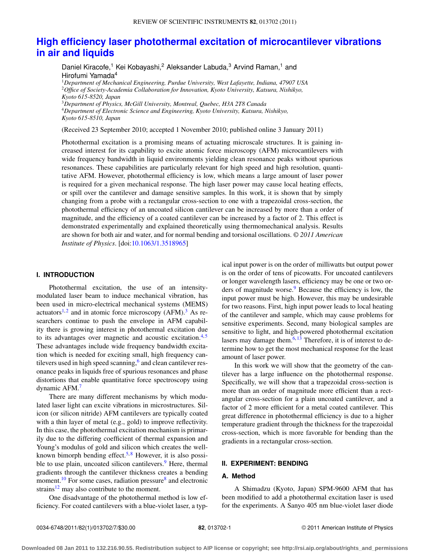# **[High efficiency laser photothermal excitation of microcantilever vibrations](http://dx.doi.org/10.1063/1.3518965) [in air and liquids](http://dx.doi.org/10.1063/1.3518965)**

Daniel Kiracofe,<sup>1</sup> Kei Kobayashi,<sup>2</sup> Aleksander Labuda,<sup>3</sup> Arvind Raman,<sup>1</sup> and Hirofumi Yamada4

<sup>1</sup>*Department of Mechanical Engineering, Purdue University, West Lafayette, Indiana, 47907 USA* <sup>2</sup>*Office of Society-Academia Collaboration for Innovation, Kyoto University, Katsura, Nishikyo, Kyoto 615-8520, Japan*

<sup>3</sup>*Department of Physics, McGill University, Montreal, Quebec, H3A 2T8 Canada* <sup>4</sup>*Department of Electronic Science and Engineering, Kyoto University, Katsura, Nishikyo,*

*Kyoto 615-8510, Japan*

(Received 23 September 2010; accepted 1 November 2010; published online 3 January 2011)

Photothermal excitation is a promising means of actuating microscale structures. It is gaining increased interest for its capability to excite atomic force microscopy (AFM) microcantilevers with wide frequency bandwidth in liquid environments yielding clean resonance peaks without spurious resonances. These capabilities are particularly relevant for high speed and high resolution, quantitative AFM. However, photothermal efficiency is low, which means a large amount of laser power is required for a given mechanical response. The high laser power may cause local heating effects, or spill over the cantilever and damage sensitive samples. In this work, it is shown that by simply changing from a probe with a rectangular cross-section to one with a trapezoidal cross-section, the photothermal efficiency of an uncoated silicon cantilever can be increased by more than a order of magnitude, and the efficiency of a coated cantilever can be increased by a factor of 2. This effect is demonstrated experimentally and explained theoretically using thermomechanical analysis. Results are shown for both air and water, and for normal bending and torsional oscillations. *© 2011 American Institute of Physics*. [doi[:10.1063/1.3518965\]](http://dx.doi.org/10.1063/1.3518965)

# **I. INTRODUCTION**

Photothermal excitation, the use of an intensitymodulated laser beam to induce mechanical vibration, has been used in micro-electrical mechanical systems (MEMS) actuators<sup>[1,](#page-6-0)[2](#page-6-1)</sup> and in atomic force microscopy (AFM).<sup>[3](#page-6-2)</sup> As researchers continue to push the envelope in AFM capability there is growing interest in photothermal excitation due to its advantages over magnetic and acoustic excitation.<sup>[4,](#page-6-3) [5](#page-6-4)</sup> These advantages include wide frequency bandwidth excitation which is needed for exciting small, high frequency cantilevers used in high speed scanning, $6$  and clean cantilever resonance peaks in liquids free of spurious resonances and phase distortions that enable quantitative force spectroscopy using dynamic AFM[.7](#page-6-6)

There are many different mechanisms by which modulated laser light can excite vibrations in microstructures. Silicon (or silicon nitride) AFM cantilevers are typically coated with a thin layer of metal (e.g., gold) to improve reflectivity. In this case, the photothermal excitation mechanism is primarily due to the differing coefficient of thermal expansion and Young's modulus of gold and silicon which creates the well-known bimorph bending effect.<sup>5,[8](#page-6-7)</sup> However, it is also possi-ble to use plain, uncoated silicon cantilevers.<sup>[9](#page-6-8)</sup> Here, thermal gradients through the cantilever thickness creates a bending moment.<sup>10</sup> For some cases, radiation pressure<sup>8</sup> and electronic strains<sup>12</sup> may also contribute to the moment.

One disadvantage of the photothermal method is low efficiency. For coated cantilevers with a blue-violet laser, a typical input power is on the order of milliwatts but output power is on the order of tens of picowatts. For uncoated cantilevers or longer wavelength lasers, efficiency may be one or two orders of magnitude worse. $9$  Because the efficiency is low, the input power must be high. However, this may be undesirable for two reasons. First, high input power leads to local heating of the cantilever and sample, which may cause problems for sensitive experiments. Second, many biological samples are sensitive to light, and high-powered photothermal excitation lasers may damage them. $6, 13$  $6, 13$  $6, 13$  Therefore, it is of interest to determine how to get the most mechanical response for the least amount of laser power.

In this work we will show that the geometry of the cantilever has a large influence on the photothermal response. Specifically, we will show that a trapezoidal cross-section is more than an order of magnitude more efficient than a rectangular cross-section for a plain uncoated cantilever, and a factor of 2 more efficient for a metal coated cantilever. This great difference in photothermal efficiency is due to a higher temperature gradient through the thickness for the trapezoidal cross-section, which is more favorable for bending than the gradients in a rectangular cross-section.

## **II. EXPERIMENT: BENDING**

# **A. Method**

A Shimadzu (Kyoto, Japan) SPM-9600 AFM that has been modified to add a photothermal excitation laser is used for the experiments. A Sanyo 405 nm blue-violet laser diode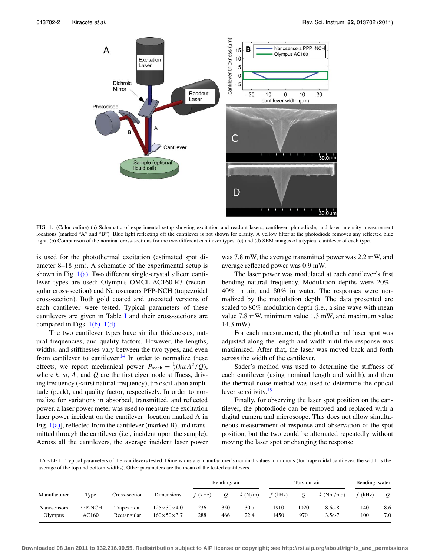<span id="page-1-0"></span>

FIG. 1. (Color online) (a) Schematic of experimental setup showing excitation and readout lasers, cantilever, photodiode, and laser intensity measurement locations (marked "A" and "B"). Blue light reflecting off the cantilever is not shown for clarity. A yellow filter at the photodiode removes any reflected blue light. (b) Comparison of the nominal cross-sections for the two different cantilever types. (c) and (d) SEM images of a typical cantilever of each type.

is used for the photothermal excitation (estimated spot diameter 8–18  $\mu$ m). A schematic of the experimental setup is shown in Fig.  $1(a)$ . Two different single-crystal silicon cantilever types are used: Olympus OMCL-AC160-R3 (rectangular cross-section) and Nanosensors PPP-NCH (trapezoidal cross-section). Both gold coated and uncoated versions of each cantilever were tested. Typical parameters of these cantilevers are given in Table [I](#page-1-1) and their cross-sections are compared in Figs.  $1(b)-1(d)$ .

The two cantilever types have similar thicknesses, natural frequencies, and quality factors. However, the lengths, widths, and stiffnesses vary between the two types, and even from cantilever to cantilever.<sup>[14](#page-6-12)</sup> In order to normalize these effects, we report mechanical power  $P_{\text{mech}} = \frac{1}{2} (k \omega A^2 / Q)$ , where  $k, \omega, A$ , and  $Q$  are the first eigenmode stiffness, driving frequency ( $\approx$ first natural frequency), tip oscillation amplitude (peak), and quality factor, respectively. In order to normalize for variations in absorbed, transmitted, and reflected power, a laser power meter was used to measure the excitation laser power incident on the cantilever [location marked A in Fig.  $1(a)$ ], reflected from the cantilever (marked B), and transmitted through the cantilever (i.e., incident upon the sample). Across all the cantilevers, the average incident laser power was 7.8 mW, the average transmitted power was 2.2 mW, and average reflected power was 0.9 mW.

The laser power was modulated at each cantilever's first bending natural frequency. Modulation depths were 20%– 40% in air, and 80% in water. The responses were normalized by the modulation depth. The data presented are scaled to 80% modulation depth (i.e., a sine wave with mean value 7.8 mW, minimum value 1.3 mW, and maximum value 14.3 mW).

For each measurement, the photothermal laser spot was adjusted along the length and width until the response was maximized. After that, the laser was moved back and forth across the width of the cantilever.

Sader's method was used to determine the stiffness of each cantilever (using nominal length and width), and then the thermal noise method was used to determine the optical lever sensitivity.<sup>15</sup>

Finally, for observing the laser spot position on the cantilever, the photodiode can be removed and replaced with a digital camera and microscope. This does not allow simultaneous measurement of response and observation of the spot position, but the two could be alternated repeatedly without moving the laser spot or changing the response.

<span id="page-1-1"></span>TABLE I. Typical parameters of the cantilevers tested. Dimensions are manufacturer's nominal values in microns (for trapezoidal cantilever, the width is the average of the top and bottom widths). Other parameters are the mean of the tested cantilevers.

|                    |         |               |                            | Bending, air |                |        | Torsion, air |           | Bending, water |           |     |
|--------------------|---------|---------------|----------------------------|--------------|----------------|--------|--------------|-----------|----------------|-----------|-----|
| Manufacturer       | Type    | Cross-section | Dimensions                 | f(kHz)       | $\overline{O}$ | k(N/m) | $f$ (kHz)    | $\varrho$ | $k$ (Nm/rad)   | $f$ (kHz) | 0   |
| <b>Nanosensors</b> | PPP-NCH | Trapezoidal   | $125 \times 30 \times 4.0$ | 236          | 350            | 30.7   | 1910         | 1020      | 8.6e-8         | 140       | 8.6 |
| Olympus            | AC160   | Rectangular   | $160 \times 50 \times 3.7$ | 288          | 466            | 22.4   | 1450         | 970       | $3.5e-7$       | 100       | 7.0 |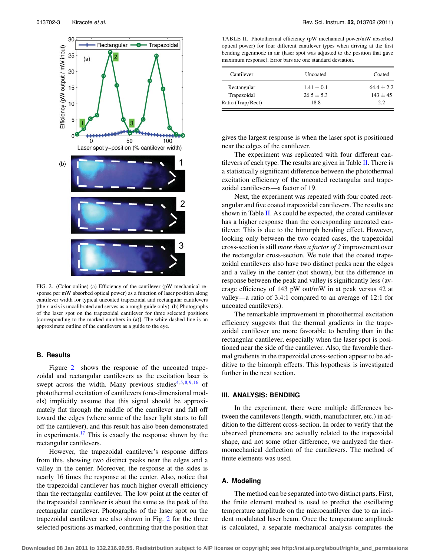<span id="page-2-0"></span>

FIG. 2. (Color online) (a) Efficiency of the cantilever (pW mechanical response per mW absorbed optical power) as a function of laser position along cantilever width for typical uncoated trapezoidal and rectangular cantilevers (the *x*-axis is uncalibrated and serves as a rough guide only). (b) Photographs of the laser spot on the trapezoidal cantilever for three selected positions [corresponding to the marked numbers in (a)]. The white dashed line is an approximate outline of the cantilevers as a guide to the eye.

### **B. Results**

Figure [2](#page-2-0) shows the response of the uncoated trapezoidal and rectangular cantilevers as the excitation laser is swept across the width. Many previous studies<sup> $4,5,8,9,16$  $4,5,8,9,16$  $4,5,8,9,16$  $4,5,8,9,16$  $4,5,8,9,16$ </sup> of photothermal excitation of cantilevers (one-dimensional models) implicitly assume that this signal should be approximately flat through the middle of the cantilever and fall off toward the edges (where some of the laser light starts to fall off the cantilever), and this result has also been demonstrated in experiments. $\frac{17}{17}$  This is exactly the response shown by the rectangular cantilevers.

However, the trapezoidal cantilever's response differs from this, showing two distinct peaks near the edges and a valley in the center. Moreover, the response at the sides is nearly 16 times the response at the center. Also, notice that the trapezoidal cantilever has much higher overall efficiency than the rectangular cantilever. The low point at the center of the trapezoidal cantilever is about the same as the peak of the rectangular cantilever. Photographs of the laser spot on the trapezoidal cantilever are also shown in Fig. [2](#page-2-0) for the three selected positions as marked, confirming that the position that

<span id="page-2-1"></span>TABLE II. Photothermal efficiency (pW mechanical power/mW absorbed optical power) for four different cantilever types when driving at the first bending eigenmode in air (laser spot was adjusted to the position that gave maximum response). Error bars are one standard deviation.

| Cantilever        | Uncoated       | Coated         |  |  |
|-------------------|----------------|----------------|--|--|
| Rectangular       | $1.41 \pm 0.1$ | $64.4 \pm 2.2$ |  |  |
| Trapezoidal       | $26.5 + 5.3$   | $143 \pm 45$   |  |  |
| Ratio (Trap/Rect) | 18.8           | 2.2.           |  |  |

gives the largest response is when the laser spot is positioned near the edges of the cantilever.

The experiment was replicated with four different cantilevers of each type. The results are given in Table  $II$ . There is a statistically significant difference between the photothermal excitation efficiency of the uncoated rectangular and trapezoidal cantilevers—a factor of 19.

Next, the experiment was repeated with four coated rectangular and five coated trapezoidal cantilevers. The results are shown in Table [II.](#page-2-1) As could be expected, the coated cantilever has a higher response than the corresponding uncoated cantilever. This is due to the bimorph bending effect. However, looking only between the two coated cases, the trapezoidal cross-section is still *more than a factor of 2* improvement over the rectangular cross-section. We note that the coated trapezoidal cantilevers also have two distinct peaks near the edges and a valley in the center (not shown), but the difference in response between the peak and valley is significantly less (average efficiency of 143 pW out/mW in at peak versus 42 at valley—a ratio of 3.4:1 compared to an average of 12:1 for uncoated cantilevers).

The remarkable improvement in photothermal excitation efficiency suggests that the thermal gradients in the trapezoidal cantilever are more favorable to bending than in the rectangular cantilever, especially when the laser spot is positioned near the side of the cantilever. Also, the favorable thermal gradients in the trapezoidal cross-section appear to be additive to the bimorph effects. This hypothesis is investigated further in the next section.

#### **III. ANALYSIS: BENDING**

In the experiment, there were multiple differences between the cantilevers (length, width, manufacturer, etc.) in addition to the different cross-section. In order to verify that the observed phenomena are actually related to the trapezoidal shape, and not some other difference, we analyzed the thermomechanical deflection of the cantilevers. The method of finite elements was used.

## **A. Modeling**

The method can be separated into two distinct parts. First, the finite element method is used to predict the oscillating temperature amplitude on the microcantilever due to an incident modulated laser beam. Once the temperature amplitude is calculated, a separate mechanical analysis computes the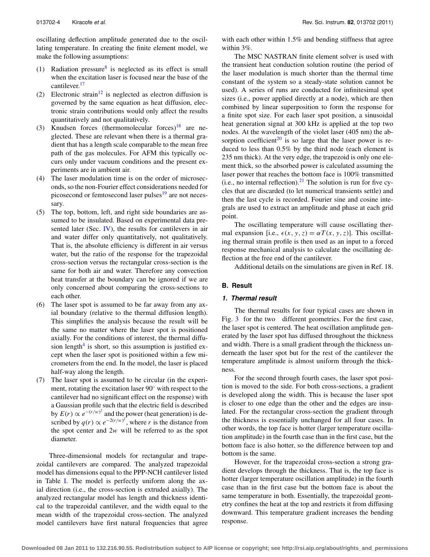oscillating deflection amplitude generated due to the oscillating temperature. In creating the finite element model, we make the following assumptions:

- (1) Radiation pressure<sup>8</sup> is neglected as its effect is small when the excitation laser is focused near the base of the cantilever.<sup>[17](#page-6-15)</sup>
- (2) Electronic strain<sup>12</sup> is neglected as electron diffusion is governed by the same equation as heat diffusion, electronic strain contributions would only affect the results quantitatively and not qualitatively.
- Knudsen forces (thermomolecular forces) $18$  are neglected. These are relevant when there is a thermal gradient that has a length scale comparable to the mean free path of the gas molecules. For AFM this typically occurs only under vacuum conditions and the present experiments are in ambient air.
- The laser modulation time is on the order of microseconds, so the non-Fourier effect considerations needed for picosecond or femtosecond laser pulses $19$  are not necessary.
- (5) The top, bottom, left, and right side boundaries are assumed to be insulated. Based on experimental data pre-sented later (Sec. [IV\)](#page-5-0), the results for cantilevers in air and water differ only quantitatively, not qualitatively. That is, the absolute efficiency is different in air versus water, but the ratio of the response for the trapezoidal cross-section versus the rectangular cross-section is the same for both air and water. Therefore any convection heat transfer at the boundary can be ignored if we are only concerned about comparing the cross-sections to each other.
- (6) The laser spot is assumed to be far away from any axial boundary (relative to the thermal diffusion length). This simplifies the analysis because the result will be the same no matter where the laser spot is positioned axially. For the conditions of interest, the thermal diffusion length<sup>4</sup> is short, so this assumption is justified except when the laser spot is positioned within a few micrometers from the end. In the model, the laser is placed half-way along the length.
- (7) The laser spot is assumed to be circular (in the experiment, rotating the excitation laser 90◦ with respect to the cantilever had no significant effect on the response) with a Gaussian profile such that the electric field is described by  $E(r) \propto e^{-(r/w)^2}$  and the power (heat generation) is described by  $q(r) \propto e^{-2(r/w)^2}$ , where *r* is the distance from the spot center and 2*w* will be referred to as the spot diameter.

Three-dimensional models for rectangular and trapezoidal cantilevers are compared. The analyzed trapezoidal model has dimensions equal to the PPP-NCH cantilever listed in Table [I.](#page-1-1) The model is perfectly uniform along the axial direction (i.e., the cross-section is extruded axially). The analyzed rectangular model has length and thickness identical to the trapezoidal cantilever, and the width equal to the mean width of the trapezoidal cross-section. The analyzed model cantilevers have first natural frequencies that agree with each other within 1.5% and bending stiffness that agree within 3%.

The MSC NASTRAN finite element solver is used with the transient heat conduction solution routine (the period of the laser modulation is much shorter than the thermal time constant of the system so a steady-state solution cannot be used). A series of runs are conducted for infinitesimal spot sizes (i.e., power applied directly at a node), which are then combined by linear superposition to form the response for a finite spot size. For each laser spot position, a sinusoidal heat generation signal at 300 kHz is applied at the top two nodes. At the wavelength of the violet laser (405 nm) the ab-sorption coefficient<sup>[20](#page-6-18)</sup> is so large that the laser power is reduced to less than 0.5% by the third node (each element is 235 nm thick). At the very edge, the trapezoid is only one element thick, so the absorbed power is calculated assuming the laser power that reaches the bottom face is 100% transmitted (i.e., no internal reflection). $2<sup>1</sup>$  The solution is run for five cycles that are discarded (to let numerical transients settle) and then the last cycle is recorded. Fourier sine and cosine integrals are used to extract an amplitude and phase at each grid point.

The oscillating temperature will cause oscillating thermal expansion [i.e.,  $\epsilon(x, y, z) = \alpha T(x, y, z)$ ]. This oscillating thermal strain profile is then used as an input to a forced response mechanical analysis to calculate the oscillating deflection at the free end of the cantilever.

Additional details on the simulations are given in Ref. 18.

# **B. Result**

#### **1. Thermal result**

The thermal results for four typical cases are shown in Fig. [3](#page-4-0) for the two different geometries. For the first case, the laser spot is centered. The heat oscillation amplitude generated by the laser spot has diffused throughout the thickness and width. There is a small gradient through the thickness underneath the laser spot but for the rest of the cantilever the temperature amplitude is almost uniform through the thickness.

For the second through fourth cases, the laser spot position is moved to the side. For both cross-sections, a gradient is developed along the width. This is because the laser spot is closer to one edge than the other and the edges are insulated. For the rectangular cross-section the gradient through the thickness is essentially unchanged for all four cases. In other words, the top face is hotter (larger temperature oscillation amplitude) in the fourth case than in the first case, but the bottom face is also hotter, so the difference between top and bottom is the same.

However, for the trapezoidal cross-section a strong gradient develops through the thickness. That is, the top face is hotter (larger temperature oscillation amplitude) in the fourth case than in the first case but the bottom face is about the same temperature in both. Essentially, the trapezoidal geometry confines the heat at the top and restricts it from diffusing downward. This temperature gradient increases the bending response.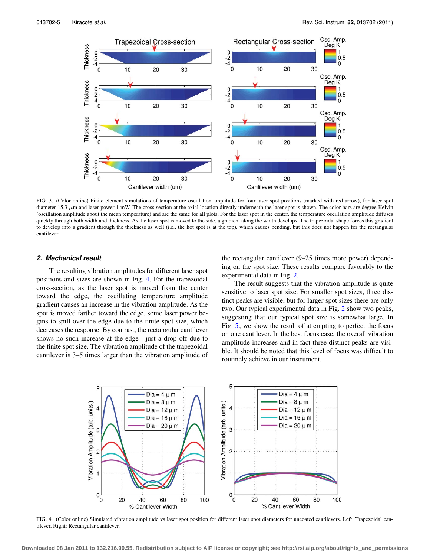<span id="page-4-0"></span>

FIG. 3. (Color online) Finite element simulations of temperature oscillation amplitude for four laser spot positions (marked with red arrow), for laser spot diameter 15.3  $\mu$ m and laser power 1 mW. The cross-section at the axial location directly underneath the laser spot is shown. The color bars are degree Kelvin (oscillation amplitude about the mean temperature) and are the same for all plots. For the laser spot in the center, the temperature oscillation amplitude diffuses quickly through both width and thickness. As the laser spot is moved to the side, a gradient along the width develops. The trapezoidal shape forces this gradient to develop into a gradient through the thickness as well (i.e., the hot spot is at the top), which causes bending, but this does not happen for the rectangular cantilever.

#### **2. Mechanical result**

The resulting vibration amplitudes for different laser spot positions and sizes are shown in Fig. [4.](#page-4-1) For the trapezoidal cross-section, as the laser spot is moved from the center toward the edge, the oscillating temperature amplitude gradient causes an increase in the vibration amplitude. As the spot is moved farther toward the edge, some laser power begins to spill over the edge due to the finite spot size, which decreases the response. By contrast, the rectangular cantilever shows no such increase at the edge—just a drop off due to the finite spot size. The vibration amplitude of the trapezoidal cantilever is 3–5 times larger than the vibration amplitude of the rectangular cantilever (9–25 times more power) depending on the spot size. These results compare favorably to the experimental data in Fig. [2.](#page-2-0)

The result suggests that the vibration amplitude is quite sensitive to laser spot size. For smaller spot sizes, three distinct peaks are visible, but for larger spot sizes there are only two. Our typical experimental data in Fig. [2](#page-2-0) show two peaks, suggesting that our typical spot size is somewhat large. In Fig. [5,](#page-5-1) we show the result of attempting to perfect the focus on one cantilever. In the best focus case, the overall vibration amplitude increases and in fact three distinct peaks are visible. It should be noted that this level of focus was difficult to routinely achieve in our instrument.

<span id="page-4-1"></span>

FIG. 4. (Color online) Simulated vibration amplitude vs laser spot position for different laser spot diameters for uncoated cantilevers. Left: Trapezoidal cantilever, Right: Rectangular cantilever.

**Downloaded 08 Jan 2011 to 132.216.90.55. Redistribution subject to AIP license or copyright; see http://rsi.aip.org/about/rights\_and\_permissions**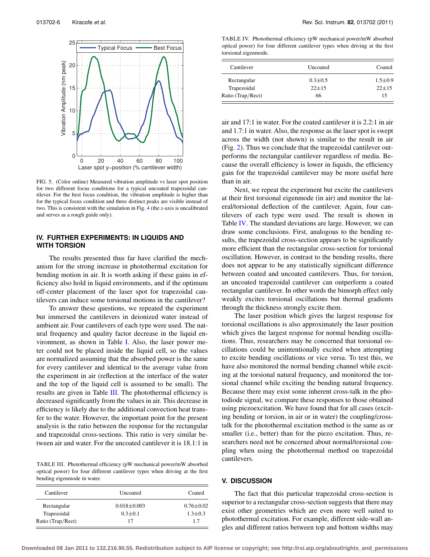<span id="page-5-1"></span>

FIG. 5. (Color online) Measured vibration amplitude vs laser spot position for two different focus conditions for a typical uncoated trapezoidal cantilever. For the best focus condition, the vibration amplitude is higher than for the typical focus condition and three distinct peaks are visible instead of two. This is consistent with the simulation in Fig. [4](#page-4-1) (the *x*-axis is uncalibrated and serves as a rough guide only).

# <span id="page-5-0"></span>**IV. FURTHER EXPERIMENTS: IN LIQUIDS AND WITH TORSION**

The results presented thus far have clarified the mechanism for the strong increase in photothermal excitation for bending motion in air. It is worth asking if these gains in efficiency also hold in liquid environments, and if the optimum off-center placement of the laser spot for trapezoidal cantilevers can induce some torsional motions in the cantilever?

To answer these questions, we repeated the experiment but immersed the cantilevers in deionized water instead of ambient air. Four cantilevers of each type were used. The natural frequency and quality factor decrease in the liquid environment, as shown in Table [I.](#page-1-1) Also, the laser power meter could not be placed inside the liquid cell, so the values are normalized assuming that the absorbed power is the same for every cantilever and identical to the average value from the experiment in air (reflection at the interface of the water and the top of the liquid cell is assumed to be small). The results are given in Table [III.](#page-5-2) The photothermal efficiency is decreased significantly from the values in air. This decrease in efficiency is likely due to the additional convection heat transfer to the water. However, the important point for the present analysis is the ratio between the response for the rectangular and trapezoidal cross-sections. This ratio is very similar between air and water. For the uncoated cantilever it is 18.1:1 in

<span id="page-5-2"></span>TABLE III. Photothermal efficiency (pW mechanical power/mW absorbed optical power) for four different cantilever types when driving at the first bending eigenmode in water.

| Cantilever        | Uncoated          | Coated          |  |
|-------------------|-------------------|-----------------|--|
| Rectangular       | $0.018 \pm 0.003$ | $0.76 \pm 0.02$ |  |
| Trapezoidal       | $0.3 + 0.1$       | $1.3 + 0.3$     |  |
| Ratio (Trap/Rect) | 17                | 17              |  |

<span id="page-5-3"></span>TABLE IV. Photothermal efficiency (pW mechanical power/mW absorbed optical power) for four different cantilever types when driving at the first torsional eigenmode.

| Cantilever        | Uncoated    | Coated        |
|-------------------|-------------|---------------|
| Rectangular       | $0.3 + 0.5$ | $1.5 \pm 0.9$ |
| Trapezoidal       | $22+15$     | $22+15$       |
| Ratio (Trap/Rect) | 66          | 15            |

air and 17:1 in water. For the coated cantilever it is 2.2:1 in air and 1.7:1 in water. Also, the response as the laser spot is swept across the width (not shown) is similar to the result in air (Fig. [2\)](#page-2-0). Thus we conclude that the trapezoidal cantilever outperforms the rectangular cantilever regardless of media. Because the overall efficiency is lower in liquids, the efficiency gain for the trapezoidal cantilever may be more useful here than in air.

Next, we repeat the experiment but excite the cantilevers at their first torsional eigenmode (in air) and monitor the lateral/torsional deflection of the cantilever. Again, four cantilevers of each type were used. The result is shown in Table [IV.](#page-5-3) The standard deviations are large. However, we can draw some conclusions. First, analogous to the bending results, the trapezoidal cross-section appears to be significantly more efficient than the rectangular cross-section for torsional oscillation. However, in contrast to the bending results, there does not appear to be any statistically significant difference between coated and uncoated cantilevers. Thus, for torsion, an uncoated trapezoidal cantilever can outperform a coated rectangular cantilever. In other words the bimorph effect only weakly excites torsional oscillations but thermal gradients through the thickness strongly excite them.

The laser position which gives the largest response for torsional oscillations is also approximately the laser position which gives the largest response for normal bending oscillations. Thus, researchers may be concerned that torsional oscillations could be unintentionally excited when attempting to excite bending oscillations or vice versa. To test this, we have also monitored the normal bending channel while exciting at the torsional natural frequency, and monitored the torsional channel while exciting the bending natural frequency. Because there may exist some inherent cross-talk in the photodiode signal, we compare these responses to those obtained using piezoexcitation. We have found that for all cases (exciting bending or torsion, in air or in water) the coupling/crosstalk for the photothermal excitation method is the same as or smaller (i.e., better) than for the piezo excitation. Thus, researchers need not be concerned about normal/torsional coupling when using the photothermal method on trapezoidal cantilevers.

#### **V. DISCUSSION**

The fact that this particular trapezoidal cross-section is superior to a rectangular cross-section suggests that there may exist other geometries which are even more well suited to photothermal excitation. For example, different side-wall angles and different ratios between top and bottom widths may